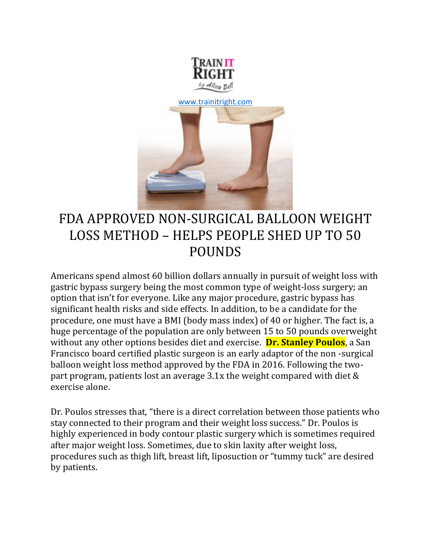



# FDA APPROVED NON-SURGICAL BALLOON WEIGHT LOSS METHOD – HELPS PEOPLE SHED UP TO 50 POUNDS

Americans spend almost 60 billion dollars annually in pursuit of weight loss with gastric bypass surgery being the most common type of weight-loss surgery; an option that isn't for everyone. Like any major procedure, gastric bypass has significant health risks and side effects. In addition, to be a candidate for the procedure, one must have a BMI (body mass index) of 40 or higher. The fact is, a huge percentage of the population are only between 15 to 50 pounds overweight without any other options besides diet and exercise. **Dr. Stanley Poulos**, a San Francisco board certified plastic surgeon is an early adaptor of the non -surgical balloon weight loss method approved by the FDA in 2016. Following the twopart program, patients lost an average 3.1x the weight compared with diet & exercise alone.

Dr. Poulos stresses that, "there is a direct correlation between those patients who stay connected to their program and their weight loss success." Dr. Poulos is highly experienced in body contour plastic surgery which is sometimes required after major weight loss. Sometimes, due to skin laxity after weight loss, procedures such as thigh lift, breast lift, liposuction or "tummy tuck" are desired by patients.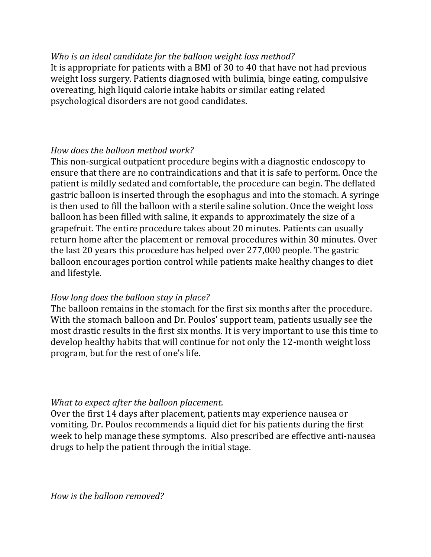#### *Who is an ideal candidate for the balloon weight loss method?*

It is appropriate for patients with a BMI of 30 to 40 that have not had previous weight loss surgery. Patients diagnosed with bulimia, binge eating, compulsive overeating, high liquid calorie intake habits or similar eating related psychological disorders are not good candidates.

## *How does the balloon method work?*

This non-surgical outpatient procedure begins with a diagnostic endoscopy to ensure that there are no contraindications and that it is safe to perform. Once the patient is mildly sedated and comfortable, the procedure can begin. The deflated gastric balloon is inserted through the esophagus and into the stomach. A syringe is then used to fill the balloon with a sterile saline solution. Once the weight loss balloon has been filled with saline, it expands to approximately the size of a grapefruit. The entire procedure takes about 20 minutes. Patients can usually return home after the placement or removal procedures within 30 minutes. Over the last 20 years this procedure has helped over 277,000 people. The gastric balloon encourages portion control while patients make healthy changes to diet and lifestyle.

#### *How long does the balloon stay in place?*

The balloon remains in the stomach for the first six months after the procedure. With the stomach balloon and Dr. Poulos' support team, patients usually see the most drastic results in the first six months. It is very important to use this time to develop healthy habits that will continue for not only the 12-month weight loss program, but for the rest of one's life.

#### *What to expect after the balloon placement.*

Over the first 14 days after placement, patients may experience nausea or vomiting. Dr. Poulos recommends a liquid diet for his patients during the first week to help manage these symptoms. Also prescribed are effective anti-nausea drugs to help the patient through the initial stage.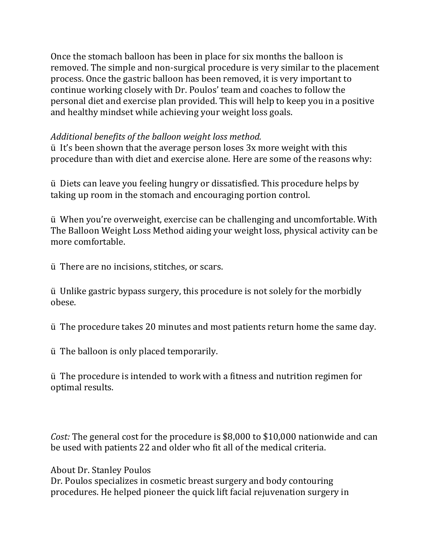Once the stomach balloon has been in place for six months the balloon is removed. The simple and non-surgical procedure is very similar to the placement process. Once the gastric balloon has been removed, it is very important to continue working closely with Dr. Poulos' team and coaches to follow the personal diet and exercise plan provided. This will help to keep you in a positive and healthy mindset while achieving your weight loss goals.

### *Additional benefits of the balloon weight loss method.*

ü It's been shown that the average person loses 3x more weight with this procedure than with diet and exercise alone. Here are some of the reasons why:

ü Diets can leave you feeling hungry or dissatisfied. This procedure helps by taking up room in the stomach and encouraging portion control.

ü When you're overweight, exercise can be challenging and uncomfortable. With The Balloon Weight Loss Method aiding your weight loss, physical activity can be more comfortable.

ü There are no incisions, stitches, or scars.

ü Unlike gastric bypass surgery, this procedure is not solely for the morbidly obese.

ü The procedure takes 20 minutes and most patients return home the same day.

ü The balloon is only placed temporarily.

ü The procedure is intended to work with a fitness and nutrition regimen for optimal results.

*Cost:* The general cost for the procedure is \$8,000 to \$10,000 nationwide and can be used with patients 22 and older who fit all of the medical criteria.

About Dr. Stanley Poulos

Dr. Poulos specializes in cosmetic breast surgery and body contouring procedures. He helped pioneer the quick lift facial rejuvenation surgery in